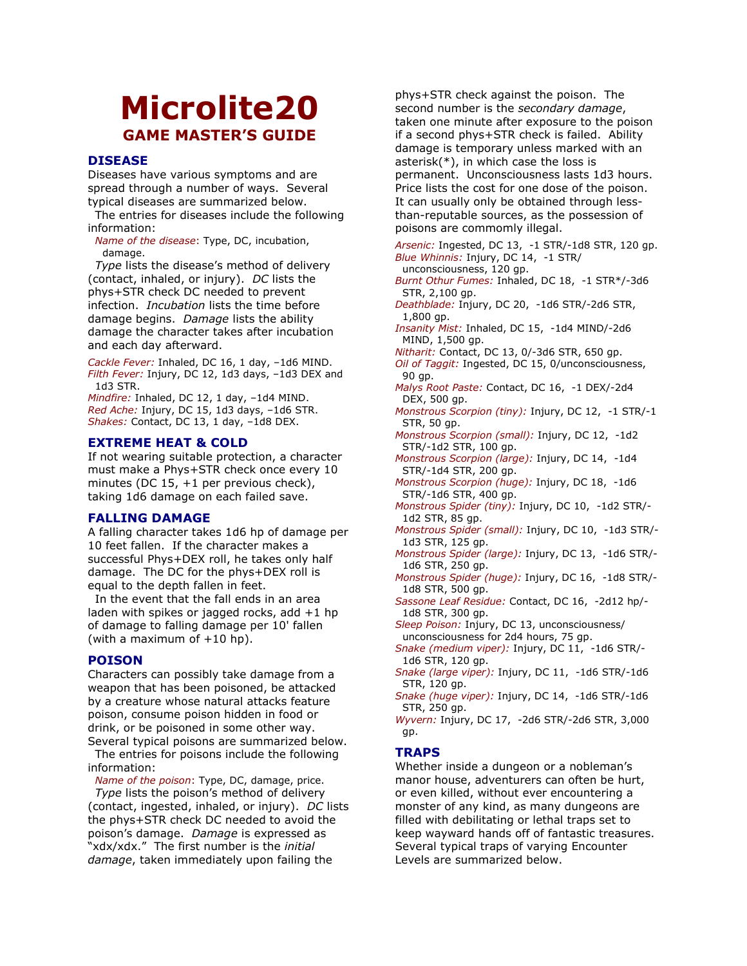# Microlite20 **GAME MASTER'S GUIDE**

# **DISEASE**

Diseases have various symptoms and are spread through a number of ways. Several typical diseases are summarized below.

The entries for diseases include the following information:

Name of the disease: Type, DC, incubation, damage.

Type lists the disease's method of delivery (contact, inhaled, or injury). DC lists the phys+STR check DC needed to prevent infection. *Incubation* lists the time before damage begins. Damage lists the ability damage the character takes after incubation and each day afterward.

Cackle Fever: Inhaled, DC 16, 1 day, -1d6 MIND. Filth Fever: Injury, DC 12, 1d3 days, -1d3 DEX and 1d3 STR.

Mindfire: Inhaled, DC 12, 1 day, -1d4 MIND. Red Ache: Injury, DC 15, 1d3 days, -1d6 STR. Shakes: Contact, DC 13, 1 day, -1d8 DEX.

# **EXTREME HEAT & COLD**

If not wearing suitable protection, a character must make a Phys+STR check once every 10 minutes (DC  $15$ , +1 per previous check), taking 1d6 damage on each failed save.

# **FALLING DAMAGE**

A falling character takes 1d6 hp of damage per 10 feet fallen. If the character makes a successful Phys+DEX roll, he takes only half damage. The DC for the phys+DEX roll is equal to the depth fallen in feet.

In the event that the fall ends in an area laden with spikes or jagged rocks, add +1 hp of damage to falling damage per 10' fallen (with a maximum of  $+10$  hp).

# **POISON**

Characters can possibly take damage from a weapon that has been poisoned, be attacked by a creature whose natural attacks feature poison, consume poison hidden in food or drink, or be poisoned in some other way. Several typical poisons are summarized below.

The entries for poisons include the following information:

Name of the poison: Type, DC, damage, price.

Type lists the poison's method of delivery (contact, ingested, inhaled, or injury). DC lists the phys+STR check DC needed to avoid the poison's damage. Damage is expressed as "xdx/xdx." The first number is the initial damage, taken immediately upon failing the

phys+STR check against the poison. The second number is the secondary damage, taken one minute after exposure to the poison if a second phys+STR check is failed. Ability damage is temporary unless marked with an asterisk(\*), in which case the loss is permanent. Unconsciousness lasts 1d3 hours. Price lists the cost for one dose of the poison. It can usually only be obtained through lessthan-reputable sources, as the possession of poisons are commomly illegal.

Arsenic: Ingested, DC 13, -1 STR/-1d8 STR, 120 gp. Blue Whinnis: Injury, DC 14, -1 STR/ unconsciousness, 120 gp.

Burnt Othur Fumes: Inhaled, DC 18, -1 STR\*/-3d6 STR, 2,100 gp.

Deathblade: Injury, DC 20, -1d6 STR/-2d6 STR,  $1,800$  qp.

Insanity Mist: Inhaled, DC 15, -1d4 MIND/-2d6 MIND, 1,500 qp.

Nitharit: Contact, DC 13, 0/-3d6 STR, 650 gp.

Oil of Taggit: Ingested, DC 15, 0/unconsciousness, 90 gp.

Malys Root Paste: Contact, DC 16, -1 DEX/-2d4 DEX, 500 qp.

Monstrous Scorpion (tiny): Injury, DC 12, -1 STR/-1 STR, 50 gp.

Monstrous Scorpion (small): Injury, DC 12, -1d2 STR/-1d2 STR, 100 gp.

Monstrous Scorpion (large): Injury, DC 14, -1d4 STR/-1d4 STR, 200 gp.

- Monstrous Scorpion (huge): Injury, DC 18, -1d6 STR/-1d6 STR, 400 qp.
- Monstrous Spider (tiny): Injury, DC 10, -1d2 STR/-1d2 STR, 85 qp.
- Monstrous Spider (small): Injury, DC 10, -1d3 STR/-1d3 STR, 125 gp.

Monstrous Spider (large): Injury, DC 13, -1d6 STR/-1d6 STR, 250 qp.

Monstrous Spider (huge): Injury, DC 16, -1d8 STR/-1d8 STR, 500 qp.

Sassone Leaf Residue: Contact, DC 16, -2d12 hp/-1d8 STR, 300 ap.

Sleep Poison: Injury, DC 13, unconsciousness/ unconsciousness for 2d4 hours, 75 gp.

Snake (medium viper): Injury, DC 11, -1d6 STR/-1d6 STR, 120 qp.

- Snake (large viper): Injury, DC 11, -1d6 STR/-1d6 STR, 120 gp.
- Snake (huge viper): Injury, DC 14, -1d6 STR/-1d6 STR, 250 gp.

Wyvern: Injury, DC 17, -2d6 STR/-2d6 STR, 3,000 gp.

# **TRAPS**

Whether inside a dungeon or a nobleman's manor house, adventurers can often be hurt, or even killed, without ever encountering a monster of any kind, as many dungeons are filled with debilitating or lethal traps set to keep wayward hands off of fantastic treasures. Several typical traps of varying Encounter Levels are summarized below.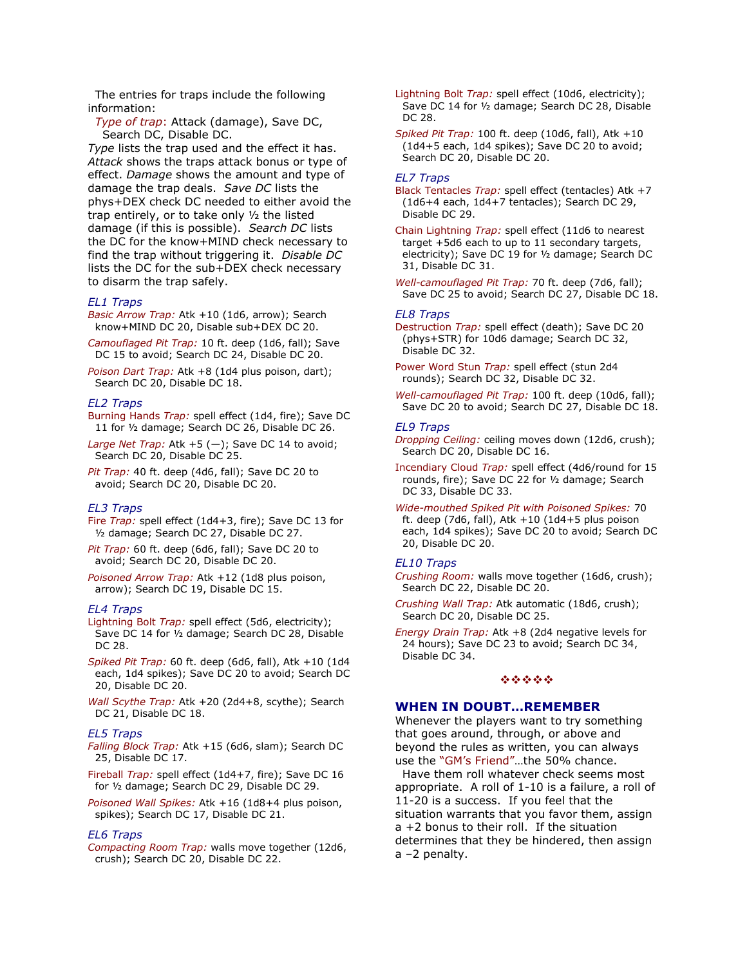The entries for traps include the following information:

Type of trap: Attack (damage), Save DC, Search DC, Disable DC.

Type lists the trap used and the effect it has. Attack shows the traps attack bonus or type of effect. Damage shows the amount and type of damage the trap deals. Save DC lists the phys+DEX check DC needed to either avoid the trap entirely, or to take only 1/2 the listed damage (if this is possible). Search DC lists the DC for the know+MIND check necessary to find the trap without triggering it. Disable DC lists the DC for the sub+DEX check necessary to disarm the trap safely.

## **EL1 Traps**

Basic Arrow Trap: Atk +10 (1d6, arrow); Search know+MIND DC 20, Disable sub+DEX DC 20.

Camouflaged Pit Trap: 10 ft. deep (1d6, fall); Save DC 15 to avoid; Search DC 24, Disable DC 20.

Poison Dart Trap: Atk +8 (1d4 plus poison, dart); Search DC 20, Disable DC 18.

## **EL2 Traps**

Burning Hands Trap: spell effect (1d4, fire); Save DC 11 for 1/2 damage; Search DC 26, Disable DC 26.

Large Net Trap: Atk +5 (-); Save DC 14 to avoid; Search DC 20, Disable DC 25.

Pit Trap: 40 ft. deep (4d6, fall); Save DC 20 to avoid; Search DC 20, Disable DC 20.

#### **EL3 Traps**

Fire Trap: spell effect (1d4+3, fire); Save DC 13 for 1/2 damage; Search DC 27, Disable DC 27.

Pit Trap: 60 ft. deep (6d6, fall); Save DC 20 to avoid; Search DC 20, Disable DC 20.

Poisoned Arrow Trap: Atk +12 (1d8 plus poison, arrow); Search DC 19, Disable DC 15.

## **EL4 Traps**

Lightning Bolt Trap: spell effect (5d6, electricity); Save DC 14 for 1/2 damage; Search DC 28, Disable DC 28.

Spiked Pit Trap: 60 ft. deep (6d6, fall), Atk +10 (1d4 each, 1d4 spikes); Save DC 20 to avoid; Search DC 20, Disable DC 20.

Wall Scythe Trap: Atk +20 (2d4+8, scythe); Search DC 21, Disable DC 18.

#### **EL5 Traps**

Falling Block Trap: Atk +15 (6d6, slam); Search DC 25, Disable DC 17.

Fireball Trap: spell effect (1d4+7, fire); Save DC 16 for 1/2 damage; Search DC 29, Disable DC 29.

Poisoned Wall Spikes: Atk +16 (1d8+4 plus poison, spikes); Search DC 17, Disable DC 21.

## **EL6 Traps**

Compacting Room Trap: walls move together (12d6, crush); Search DC 20, Disable DC 22.

Lightning Bolt Trap: spell effect (10d6, electricity); Save DC 14 for 1/2 damage; Search DC 28, Disable DC 28.

Spiked Pit Trap: 100 ft. deep (10d6, fall), Atk +10 (1d4+5 each, 1d4 spikes); Save DC 20 to avoid; Search DC 20, Disable DC 20.

#### **EL7 Traps**

Black Tentacles Trap: spell effect (tentacles) Atk +7 (1d6+4 each, 1d4+7 tentacles); Search DC 29, Disable DC 29.

Chain Lightning Trap: spell effect (11d6 to nearest target +5d6 each to up to 11 secondary targets, electricity); Save DC 19 for 1/2 damage; Search DC 31, Disable DC 31.

Well-camouflaged Pit Trap: 70 ft. deep (7d6, fall); Save DC 25 to avoid; Search DC 27, Disable DC 18.

#### **EL8 Traps**

Destruction Trap: spell effect (death); Save DC 20 (phys+STR) for 10d6 damage; Search DC 32, Disable DC 32.

Power Word Stun Trap: spell effect (stun 2d4 rounds); Search DC 32, Disable DC 32.

Well-camouflaged Pit Trap: 100 ft. deep (10d6, fall); Save DC 20 to avoid; Search DC 27, Disable DC 18.

## **EL9 Traps**

Dropping Ceiling: ceiling moves down (12d6, crush); Search DC 20, Disable DC 16.

Incendiary Cloud Trap: spell effect (4d6/round for 15 rounds, fire); Save DC 22 for 1/2 damage; Search DC 33, Disable DC 33.

Wide-mouthed Spiked Pit with Poisoned Spikes: 70 ft. deep (7d6, fall), Atk  $+10$  (1d4+5 plus poison each, 1d4 spikes); Save DC 20 to avoid; Search DC 20, Disable DC 20.

## **EL10 Traps**

Crushing Room: walls move together (16d6, crush); Search DC 22, Disable DC 20.

Crushing Wall Trap: Atk automatic (18d6, crush); Search DC 20, Disable DC 25.

Energy Drain Trap: Atk +8 (2d4 negative levels for 24 hours); Save DC 23 to avoid; Search DC 34, Disable DC 34.

## \*\*\*\*\*

# **WHEN IN DOUBT...REMEMBER**

Whenever the players want to try something that goes around, through, or above and beyond the rules as written, you can always use the "GM's Friend"...the 50% chance.

Have them roll whatever check seems most appropriate. A roll of 1-10 is a failure, a roll of 11-20 is a success. If you feel that the situation warrants that you favor them, assign a +2 bonus to their roll. If the situation determines that they be hindered, then assign  $a - 2$  penalty.